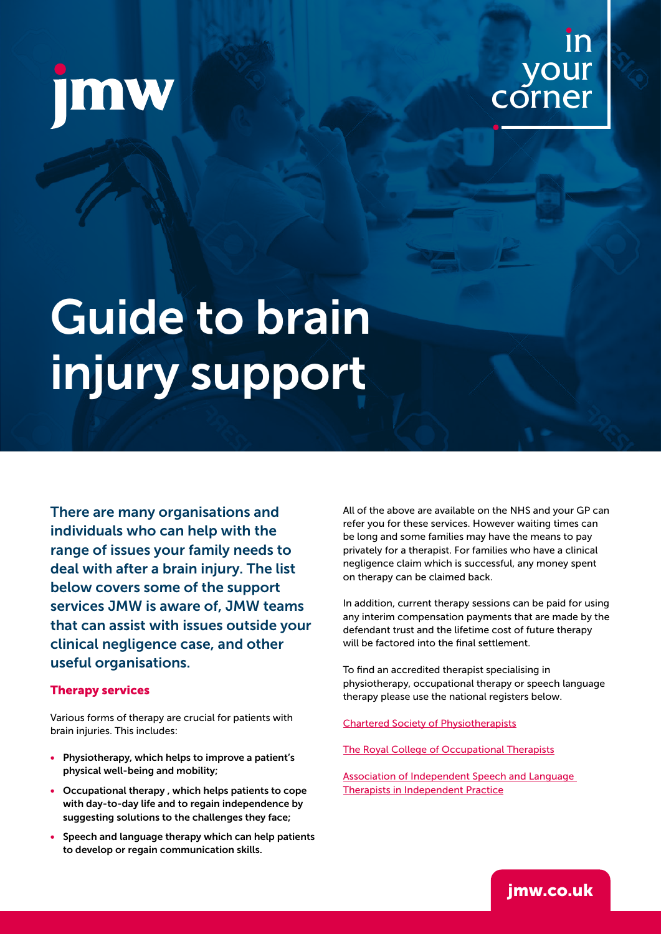## in your corner

# Guide to brain injury support

There are many organisations and individuals who can help with the range of issues your family needs to deal with after a brain injury. The list below covers some of the support services JMW is aware of, JMW teams that can assist with issues outside your clinical negligence case, and other useful organisations.

#### Therapy services

Various forms of therapy are crucial for patients with brain injuries. This includes:

- Physiotherapy, which helps to improve a patient's physical well-being and mobility;
- Occupational therapy , which helps patients to cope with day-to-day life and to regain independence by suggesting solutions to the challenges they face;
- Speech and language therapy which can help patients to develop or regain communication skills.

All of the above are available on the NHS and your GP can refer you for these services. However waiting times can be long and some families may have the means to pay privately for a therapist. For families who have a clinical negligence claim which is successful, any money spent on therapy can be claimed back.

In addition, current therapy sessions can be paid for using any interim compensation payments that are made by the defendant trust and the lifetime cost of future therapy will be factored into the final settlement.

To find an accredited therapist specialising in physiotherapy, occupational therapy or speech language therapy please use the national registers below.

[Chartered Society of Physiotherapists](https://www.csp.org.uk/public-patient/find-physiotherapist/physio2u)

[The Royal College of Occupational Therapists](https://rcotss-ip.org.uk/find)

[Association of Independent Speech and Language](https://asltip.com/find-a-speech-therapist/)  [Therapists in Independent Practice](https://asltip.com/find-a-speech-therapist/)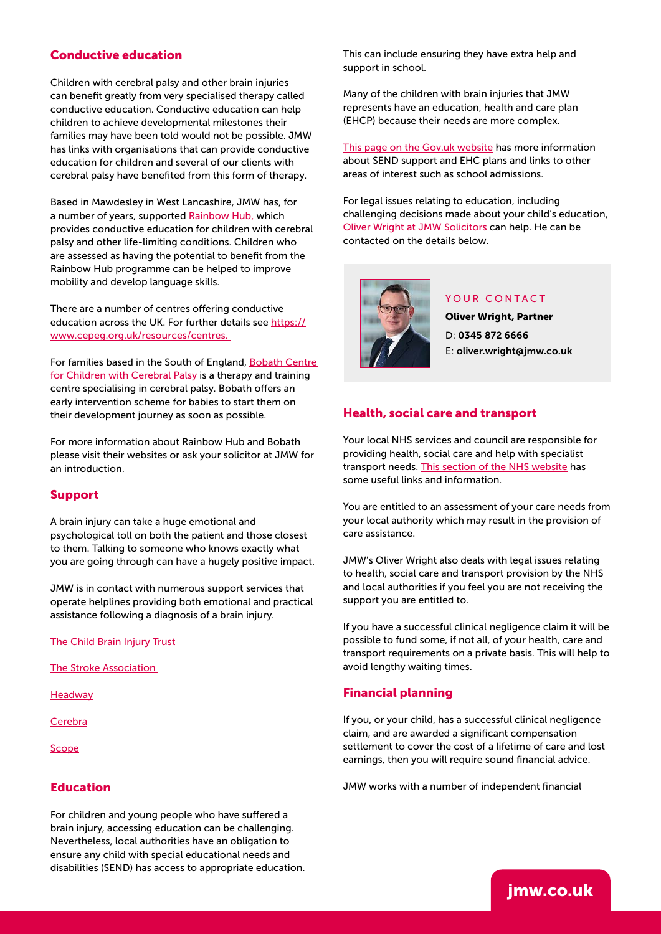#### Conductive education

Children with cerebral palsy and other brain injuries can benefit greatly from very specialised therapy called conductive education. Conductive education can help children to achieve developmental milestones their families may have been told would not be possible. JMW has links with organisations that can provide conductive education for children and several of our clients with cerebral palsy have benefited from this form of therapy.

Based in Mawdesley in West Lancashire, JMW has, for a number of years, supported [Rainbow Hub,](https://www.rainbowhub.org) which provides conductive education for children with cerebral palsy and other life-limiting conditions. Children who are assessed as having the potential to benefit from the Rainbow Hub programme can be helped to improve mobility and develop language skills.

There are a number of centres offering conductive education across the UK. For further details see [https://](https://www.cepeg.org.uk/resources/centres) [www.cepeg.org.uk/resources/centres.](https://www.cepeg.org.uk/resources/centres) 

For families based in the South of England, Bobath Centre [for Children with Cerebral Palsy](https://www.bobath.org.uk) is a therapy and training centre specialising in cerebral palsy. Bobath offers an early intervention scheme for babies to start them on their development journey as soon as possible.

For more information about Rainbow Hub and Bobath please visit their websites or ask your solicitor at JMW for an introduction.

#### Support

A brain injury can take a huge emotional and psychological toll on both the patient and those closest to them. Talking to someone who knows exactly what you are going through can have a hugely positive impact.

JMW is in contact with numerous support services that operate helplines providing both emotional and practical assistance following a diagnosis of a brain injury.

#### [The Child Brain Injury Trust](https://childbraininjurytrust.org.uk)

[The Stroke Association](https://www.stroke.org.uk) 

**[Headway](https://www.headway.org.uk)** 

**[Cerebra](https://cerebra.org.uk)** 

[Scope](https://www.scope.org.uk)

#### Education

For children and young people who have suffered a brain injury, accessing education can be challenging. Nevertheless, local authorities have an obligation to ensure any child with special educational needs and disabilities (SEND) has access to appropriate education. This can include ensuring they have extra help and support in school.

Many of the children with brain injuries that JMW represents have an education, health and care plan (EHCP) because their needs are more complex.

[This page on the Gov.uk website](https://www.gov.uk/children-with-special-educational-needs) has more information about SEND support and EHC plans and links to other areas of interest such as school admissions.

For legal issues relating to education, including challenging decisions made about your child's education, [Oliver Wright at JMW Solicitors](https://www.jmw.co.uk/services-for-business/commercial-litigation-dispute-resolution/people/oliver-wright) can help. He can be contacted on the details below.



#### YOUR CONTACT

Oliver Wright, Partner D: 0345 872 6666 E: oliver.wright@jmw.co.uk

#### Health, social care and transport

Your local NHS services and council are responsible for providing health, social care and help with specialist transport needs. [This section of the NHS website](https://www.nhs.uk/conditions/social-care-and-support-guide/) has some useful links and information.

You are entitled to an assessment of your care needs from your local authority which may result in the provision of care assistance.

JMW's Oliver Wright also deals with legal issues relating to health, social care and transport provision by the NHS and local authorities if you feel you are not receiving the support you are entitled to.

If you have a successful clinical negligence claim it will be possible to fund some, if not all, of your health, care and transport requirements on a private basis. This will help to avoid lengthy waiting times.

#### Financial planning

If you, or your child, has a successful clinical negligence claim, and are awarded a significant compensation settlement to cover the cost of a lifetime of care and lost earnings, then you will require sound financial advice.

JMW works with a number of independent financial